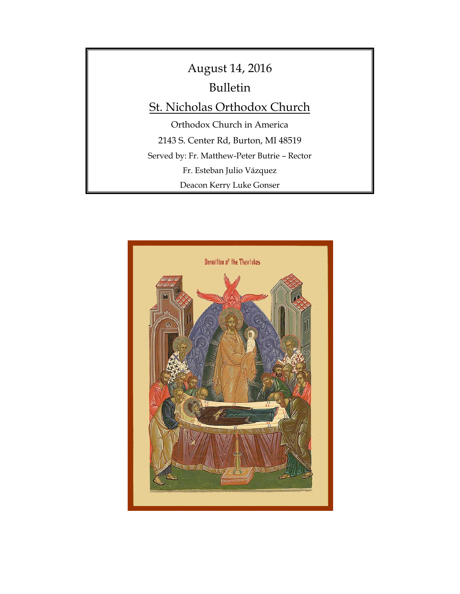

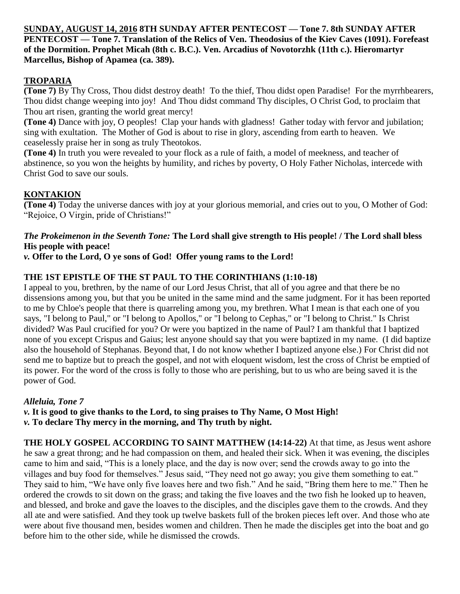**SUNDAY, AUGUST 14, 2016 8TH SUNDAY AFTER PENTECOST — Tone 7. 8th SUNDAY AFTER PENTECOST — Tone 7. Translation of the Relics of Ven. Theodosius of the Kiev Caves (1091). Forefeast of the Dormition. Prophet Micah (8th c. B.C.). Ven. Arcadius of Novotorzhk (11th c.). Hieromartyr Marcellus, Bishop of Apamea (ca. 389).**

# **TROPARIA**

**(Tone 7)** By Thy Cross, Thou didst destroy death! To the thief, Thou didst open Paradise! For the myrrhbearers, Thou didst change weeping into joy! And Thou didst command Thy disciples, O Christ God, to proclaim that Thou art risen, granting the world great mercy!

**(Tone 4)** Dance with joy, O peoples! Clap your hands with gladness! Gather today with fervor and jubilation; sing with exultation. The Mother of God is about to rise in glory, ascending from earth to heaven. We ceaselessly praise her in song as truly Theotokos.

**(Tone 4)** In truth you were revealed to your flock as a rule of faith, a model of meekness, and teacher of abstinence, so you won the heights by humility, and riches by poverty, O Holy Father Nicholas, intercede with Christ God to save our souls.

# **KONTAKION**

**(Tone 4)** Today the universe dances with joy at your glorious memorial, and cries out to you, O Mother of God: "Rejoice, O Virgin, pride of Christians!"

### *The Prokeimenon in the Seventh Tone:* **The Lord shall give strength to His people! / The Lord shall bless His people with peace!**

*v.* **Offer to the Lord, O ye sons of God! Offer young rams to the Lord!**

# **THE 1ST EPISTLE OF THE ST PAUL TO THE CORINTHIANS (1:10-18)**

I appeal to you, brethren, by the name of our Lord Jesus Christ, that all of you agree and that there be no dissensions among you, but that you be united in the same mind and the same judgment. For it has been reported to me by Chloe's people that there is quarreling among you, my brethren. What I mean is that each one of you says, "I belong to Paul," or "I belong to Apollos," or "I belong to Cephas," or "I belong to Christ." Is Christ divided? Was Paul crucified for you? Or were you baptized in the name of Paul? I am thankful that I baptized none of you except Crispus and Gaius; lest anyone should say that you were baptized in my name. (I did baptize also the household of Stephanas. Beyond that, I do not know whether I baptized anyone else.) For Christ did not send me to baptize but to preach the gospel, and not with eloquent wisdom, lest the cross of Christ be emptied of its power. For the word of the cross is folly to those who are perishing, but to us who are being saved it is the power of God.

### *Alleluia, Tone 7*

*v.* **It is good to give thanks to the Lord, to sing praises to Thy Name, O Most High!** *v.* **To declare Thy mercy in the morning, and Thy truth by night.**

**THE HOLY GOSPEL ACCORDING TO SAINT MATTHEW (14:14-22)** At that time, as Jesus went ashore he saw a great throng; and he had compassion on them, and healed their sick. When it was evening, the disciples came to him and said, "This is a lonely place, and the day is now over; send the crowds away to go into the villages and buy food for themselves." Jesus said, "They need not go away; you give them something to eat." They said to him, "We have only five loaves here and two fish." And he said, "Bring them here to me." Then he ordered the crowds to sit down on the grass; and taking the five loaves and the two fish he looked up to heaven, and blessed, and broke and gave the loaves to the disciples, and the disciples gave them to the crowds. And they all ate and were satisfied. And they took up twelve baskets full of the broken pieces left over. And those who ate were about five thousand men, besides women and children. Then he made the disciples get into the boat and go before him to the other side, while he dismissed the crowds.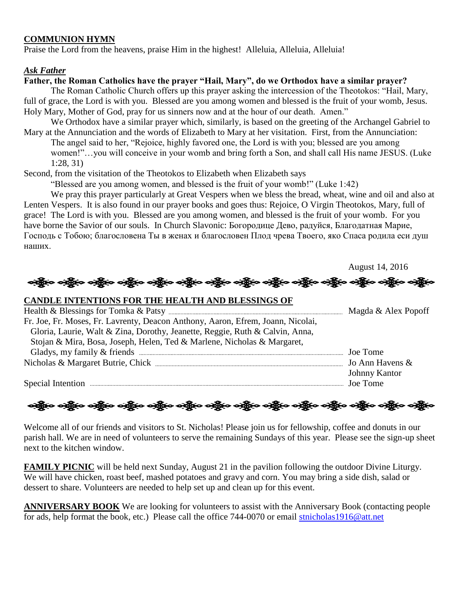#### **COMMUNION HYMN**

Praise the Lord from the heavens, praise Him in the highest! Alleluia, Alleluia, Alleluia!

#### *Ask Father*

#### **Father, the Roman Catholics have the prayer "Hail, Mary", do we Orthodox have a similar prayer?**

The Roman Catholic Church offers up this prayer asking the intercession of the Theotokos: "Hail, Mary, full of grace, the Lord is with you. Blessed are you among women and blessed is the fruit of your womb, Jesus. Holy Mary, Mother of God, pray for us sinners now and at the hour of our death. Amen."

We Orthodox have a similar prayer which, similarly, is based on the greeting of the Archangel Gabriel to Mary at the Annunciation and the words of Elizabeth to Mary at her visitation. First, from the Annunciation:

The angel said to her, "Rejoice, highly favored one, the Lord is with you; blessed are you among women!"…you will conceive in your womb and bring forth a Son, and shall call His name JESUS. (Luke 1:28, 31)

Second, from the visitation of the Theotokos to Elizabeth when Elizabeth says

"Blessed are you among women, and blessed is the fruit of your womb!" (Luke 1:42)

We pray this prayer particularly at Great Vespers when we bless the bread, wheat, wine and oil and also at Lenten Vespers. It is also found in our prayer books and goes thus: Rejoice, O Virgin Theotokos, Mary, full of grace! The Lord is with you. Blessed are you among women, and blessed is the fruit of your womb. For you have borne the Savior of our souls. In Church Slavonic: Богородице Дево, радуйся, Благодатная Марие, Господь с Тобою; благословена Ты в женах и благословен Плод чрева Твоего, яко Спаса родила еси душ наших.

|                                                                                                                                                                                                                                      | August 14, 2016      |
|--------------------------------------------------------------------------------------------------------------------------------------------------------------------------------------------------------------------------------------|----------------------|
| ့် ဝတ္ထိုးဝ ဝဏ္ဏိုးဝ ဝဏ္ဏိုးဝ ဝဏ္ဏိုးဝ ဝဏ္ဏိုးဝ ဝဏ္ဏိုးဝ                                                                                                                                                                             |                      |
| CANDLE INTENTIONS FOR THE HEALTH AND BLESSINGS OF                                                                                                                                                                                    |                      |
|                                                                                                                                                                                                                                      |                      |
| Fr. Joe, Fr. Moses, Fr. Lavrenty, Deacon Anthony, Aaron, Efrem, Joann, Nicolai,                                                                                                                                                      |                      |
| Gloria, Laurie, Walt & Zina, Dorothy, Jeanette, Reggie, Ruth & Calvin, Anna,                                                                                                                                                         |                      |
| Stojan & Mira, Bosa, Joseph, Helen, Ted & Marlene, Nicholas & Margaret,                                                                                                                                                              |                      |
|                                                                                                                                                                                                                                      |                      |
|                                                                                                                                                                                                                                      | Jo Ann Havens $\&$   |
|                                                                                                                                                                                                                                      | <b>Johnny Kantor</b> |
| Special Intention <i>manufacture is the contract of the contract of the contract of the contract of the contract of the contract of the contract of the contract of the contract of the contract of the contract of the contract</i> | Joe Tome             |

ဆို့ပြီးစ ဝန္ကြိုးစ ဝန္ကြိုးစ ဝန္ကြိုးစ ဝန္ကြိုးစ ဝန္ကြိုးစ ဝန္ကြိုးစ ဝန္ကြိုးစ ဝန္ကြိုးစ ဝန္ကြိုးစ ဝန္ကြိုးစ

Welcome all of our friends and visitors to St. Nicholas! Please join us for fellowship, coffee and donuts in our parish hall. We are in need of volunteers to serve the remaining Sundays of this year. Please see the sign-up sheet next to the kitchen window.

**FAMILY PICNIC** will be held next Sunday, August 21 in the pavilion following the outdoor Divine Liturgy. We will have chicken, roast beef, mashed potatoes and gravy and corn. You may bring a side dish, salad or dessert to share. Volunteers are needed to help set up and clean up for this event.

**ANNIVERSARY BOOK** We are looking for volunteers to assist with the Anniversary Book (contacting people for ads, help format the book, etc.) Please call the office 744-0070 or email [stnicholas1916@att.net](mailto:stnicholas1916@att.net)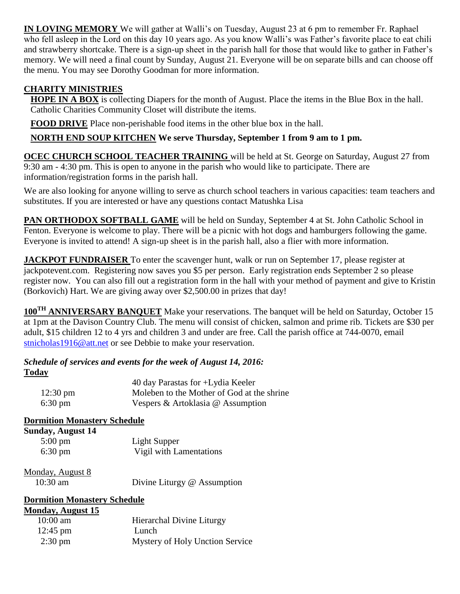**IN LOVING MEMORY** We will gather at Walli's on Tuesday, August 23 at 6 pm to remember Fr. Raphael who fell asleep in the Lord on this day 10 years ago. As you know Walli's was Father's favorite place to eat chili and strawberry shortcake. There is a sign-up sheet in the parish hall for those that would like to gather in Father's memory. We will need a final count by Sunday, August 21. Everyone will be on separate bills and can choose off the menu. You may see Dorothy Goodman for more information.

# **CHARITY MINISTRIES**

**HOPE IN A BOX** is collecting Diapers for the month of August. Place the items in the Blue Box in the hall. Catholic Charities Community Closet will distribute the items.

**FOOD DRIVE** Place non-perishable food items in the other blue box in the hall.

# **NORTH END SOUP KITCHEN We serve Thursday, September 1 from 9 am to 1 pm.**

**OCEC CHURCH SCHOOL TEACHER TRAINING** will be held at St. George on Saturday, August 27 from 9:30 am - 4:30 pm. This is open to anyone in the parish who would like to participate. There are information/registration forms in the parish hall.

We are also looking for anyone willing to serve as church school teachers in various capacities: team teachers and substitutes. If you are interested or have any questions contact Matushka Lisa

**PAN ORTHODOX SOFTBALL GAME** will be held on Sunday, September 4 at St. John Catholic School in Fenton. Everyone is welcome to play. There will be a picnic with hot dogs and hamburgers following the game. Everyone is invited to attend! A sign-up sheet is in the parish hall, also a flier with more information.

**JACKPOT FUNDRAISER** To enter the scavenger hunt, walk or run on September 17, please register at jackpotevent.com. Registering now saves you \$5 per person. Early registration ends September 2 so please register now. You can also fill out a registration form in the hall with your method of payment and give to Kristin (Borkovich) Hart. We are giving away over \$2,500.00 in prizes that day!

**100TH ANNIVERSARY BANQUET** Make your reservations. The banquet will be held on Saturday, October 15 at 1pm at the Davison Country Club. The menu will consist of chicken, salmon and prime rib. Tickets are \$30 per adult, \$15 children 12 to 4 yrs and children 3 and under are free. Call the parish office at 744-0070, email [stnicholas1916@att.net](mailto:stnicholas1916@att.net) or see Debbie to make your reservation.

### *Schedule of services and events for the week of August 14, 2016:* **Today**

|                    | 40 day Parastas for +Lydia Keeler          |  |
|--------------------|--------------------------------------------|--|
| $12:30 \text{ pm}$ | Moleben to the Mother of God at the shrine |  |
| $6:30 \text{ pm}$  | Vespers & Artoklasia @ Assumption          |  |

### **Dormition Monastery Schedule**

| Sunday, August 14 |                         |
|-------------------|-------------------------|
| $5:00 \text{ pm}$ | Light Supper            |
| $6:30 \text{ pm}$ | Vigil with Lamentations |

Monday, August 8 10:30 am Divine Liturgy @ Assumption

### **Dormition Monastery Schedule**

### **Monday, August 15**

| $10:00$ am         | Hierarchal Divine Liturgy       |  |
|--------------------|---------------------------------|--|
| $12:45 \text{ pm}$ | Lunch.                          |  |
| $2:30 \text{ pm}$  | Mystery of Holy Unction Service |  |